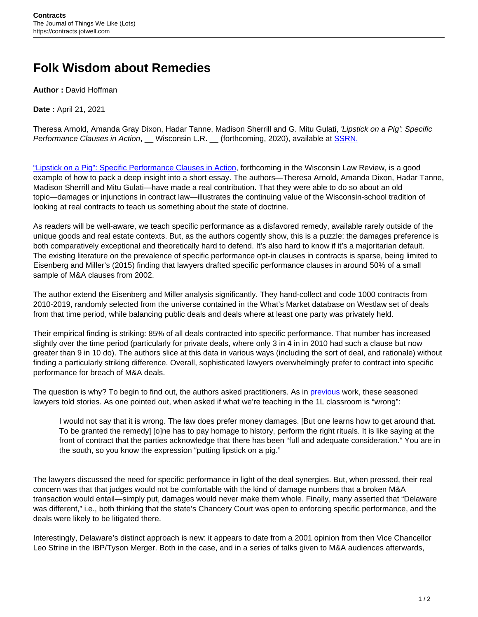## **Folk Wisdom about Remedies**

**Author :** David Hoffman

**Date :** April 21, 2021

Theresa Arnold, Amanda Gray Dixon, Hadar Tanne, Madison Sherrill and G. Mitu Gulati, 'Lipstick on a Pig': Specific Performance Clauses in Action, Wisconsin L.R. (forthcoming, 2020), available at [SSRN.](https://papers.ssrn.com/sol3/papers.cfm?abstract_id=3696103)

["Lipstick on a Pig": Specific Performance Clauses in Action,](https://papers.ssrn.com/sol3/papers.cfm?abstract_id=3696103) forthcoming in the Wisconsin Law Review, is a good example of how to pack a deep insight into a short essay. The authors—Theresa Arnold, Amanda Dixon, Hadar Tanne, Madison Sherrill and Mitu Gulati—have made a real contribution. That they were able to do so about an old topic—damages or injunctions in contract law—illustrates the continuing value of the Wisconsin-school tradition of looking at real contracts to teach us something about the state of doctrine.

As readers will be well-aware, we teach specific performance as a disfavored remedy, available rarely outside of the unique goods and real estate contexts. But, as the authors cogently show, this is a puzzle: the damages preference is both comparatively exceptional and theoretically hard to defend. It's also hard to know if it's a majoritarian default. The existing literature on the prevalence of specific performance opt-in clauses in contracts is sparse, being limited to Eisenberg and Miller's (2015) finding that lawyers drafted specific performance clauses in around 50% of a small sample of M&A clauses from 2002.

The author extend the Eisenberg and Miller analysis significantly. They hand-collect and code 1000 contracts from 2010-2019, randomly selected from the universe contained in the What's Market database on Westlaw set of deals from that time period, while balancing public deals and deals where at least one party was privately held.

Their empirical finding is striking: 85% of all deals contracted into specific performance. That number has increased slightly over the time period (particularly for private deals, where only 3 in 4 in in 2010 had such a clause but now greater than 9 in 10 do). The authors slice at this data in various ways (including the sort of deal, and rationale) without finding a particularly striking difference. Overall, sophisticated lawyers overwhelmingly prefer to contract into specific performance for breach of M&A deals.

The question is why? To begin to find out, the authors asked practitioners. As in **[previous](https://scholarship.law.columbia.edu/faculty_scholarship/1642/)** work, these seasoned lawyers told stories. As one pointed out, when asked if what we're teaching in the 1L classroom is "wrong":

I would not say that it is wrong. The law does prefer money damages. [But one learns how to get around that. To be granted the remedy] [o]ne has to pay homage to history, perform the right rituals. It is like saying at the front of contract that the parties acknowledge that there has been "full and adequate consideration." You are in the south, so you know the expression "putting lipstick on a pig."

The lawyers discussed the need for specific performance in light of the deal synergies. But, when pressed, their real concern was that that judges would not be comfortable with the kind of damage numbers that a broken M&A transaction would entail—simply put, damages would never make them whole. Finally, many asserted that "Delaware was different," i.e., both thinking that the state's Chancery Court was open to enforcing specific performance, and the deals were likely to be litigated there.

Interestingly, Delaware's distinct approach is new: it appears to date from a 2001 opinion from then Vice Chancellor Leo Strine in the IBP/Tyson Merger. Both in the case, and in a series of talks given to M&A audiences afterwards,